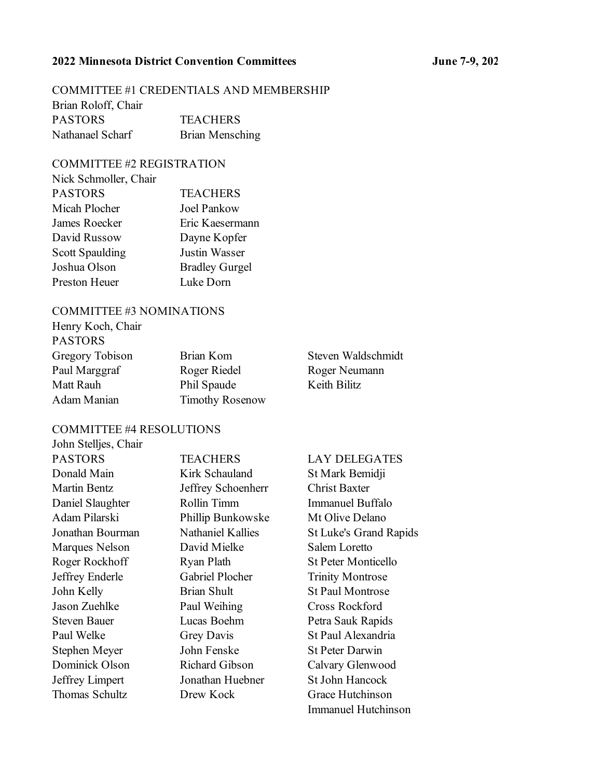## **2022 Minnesota District Convention Committees June 7-9, 2022**

# COMMITTEE #1 CREDENTIALS AND MEMBERSHIP

| Brian Roloff, Chair |                 |
|---------------------|-----------------|
| <b>PASTORS</b>      | <b>TEACHERS</b> |
| Nathanael Scharf    | Brian Mensching |

# COMMITTEE #2 REGISTRATION

| Nick Schmoller, Chair  |                       |
|------------------------|-----------------------|
| <b>PASTORS</b>         | <b>TEACHERS</b>       |
| Micah Plocher          | Joel Pankow           |
| James Roecker          | Eric Kaesermann       |
| David Russow           | Dayne Kopfer          |
| <b>Scott Spaulding</b> | <b>Justin Wasser</b>  |
| Joshua Olson           | <b>Bradley Gurgel</b> |
| Preston Heuer          | Luke Dorn             |
|                        |                       |

#### COMMITTEE #3 NOMINATIONS

| Henry Koch, Chair |                        |              |
|-------------------|------------------------|--------------|
| <b>PASTORS</b>    |                        |              |
| Gregory Tobison   | Brian Kom              | Steven Wal   |
| Paul Marggraf     | Roger Riedel           | Roger Neur   |
| Matt Rauh         | Phil Spaude            | Keith Bilitz |
| Adam Manian       | <b>Timothy Rosenow</b> |              |

Waldschmidt Neumann

#### COMMITTEE #4 RESOLUTIONS

| John Stelljes, Chair  |
|-----------------------|
| <b>PASTORS</b>        |
| Donald Main           |
| <b>Martin Bentz</b>   |
| Daniel Slaughter      |
| Adam Pilarski         |
| Jonathan Bourman      |
| <b>Marques Nelson</b> |
| Roger Rockhoff        |
| Jeffrey Enderle       |
| John Kelly            |
| Jason Zuehlke         |
| <b>Steven Bauer</b>   |
| Paul Welke            |
| Stephen Meyer         |
| Dominick Olson        |
| Jeffrey Limpert       |
| Thomas Schultz        |
|                       |

Kirk Schauland St Mark Bemidji Jeffrey Schoenherr Christ Baxter Rollin Timm Immanuel Buffalo Phillip Bunkowske Mt Olive Delano David Mielke Salem Loretto Gabriel Plocher Trinity Montrose Brian Shult St Paul Montrose Paul Weihing Cross Rockford Lucas Boehm Petra Sauk Rapids Grey Davis St Paul Alexandria John Fenske St Peter Darwin Richard Gibson Calvary Glenwood Jonathan Huebner St John Hancock Drew Kock Grace Hutchinson

### TEACHERS LAY DELEGATES

Nathaniel Kallies St Luke's Grand Rapids Ryan Plath St Peter Monticello Immanuel Hutchinson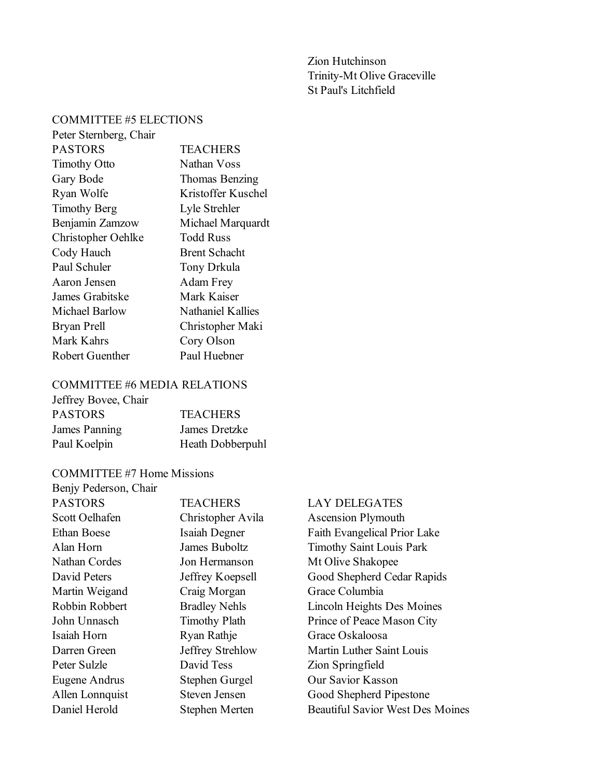Zion Hutchinson Trinity-Mt Olive Graceville St Paul's Litchfield

# COMMITTEE #5 ELECTIONS

| Peter Sternberg, Chair |                      |
|------------------------|----------------------|
| <b>PASTORS</b>         | <b>TEACHERS</b>      |
| <b>Timothy Otto</b>    | Nathan Voss          |
| Gary Bode              | Thomas Benzing       |
| Ryan Wolfe             | Kristoffer Kuschel   |
| <b>Timothy Berg</b>    | Lyle Strehler        |
| Benjamin Zamzow        | Michael Marquardt    |
| Christopher Oehlke     | Todd Russ            |
| Cody Hauch             | <b>Brent Schacht</b> |
| Paul Schuler           | Tony Drkula          |
| Aaron Jensen           | Adam Frey            |
| James Grabitske        | Mark Kaiser          |
| Michael Barlow         | Nathaniel Kallies    |
| Bryan Prell            | Christopher Maki     |
| Mark Kahrs             | Cory Olson           |
| Robert Guenther        | Paul Huebner         |
|                        |                      |

# COMMITTEE #6 MEDIA RELATIONS

| Jeffrey Bovee, Chair |                  |
|----------------------|------------------|
| <b>PASTORS</b>       | <b>TEACHERS</b>  |
| James Panning        | James Dretzke    |
| Paul Koelpin         | Heath Dobberpuhl |

# COMMITTEE #7 Home Missions

| Benjy Pederson, Chair |                      |   |
|-----------------------|----------------------|---|
| <b>PASTORS</b>        | <b>TEACHERS</b>      |   |
| Scott Oelhafen        | Christopher Avila    |   |
| <b>Ethan Boese</b>    | Isaiah Degner        | I |
| Alan Horn             | James Buboltz        |   |
| Nathan Cordes         | Jon Hermanson        | ľ |
| David Peters          | Jeffrey Koepsell     |   |
| Martin Weigand        | Craig Morgan         |   |
| Robbin Robbert        | <b>Bradley Nehls</b> |   |
| John Unnasch          | <b>Timothy Plath</b> | I |
| Isaiah Horn           | Ryan Rathje          |   |
| Darren Green          | Jeffrey Strehlow     | ľ |
| Peter Sulzle          | David Tess           | 2 |
| Eugene Andrus         | Stephen Gurgel       |   |
| Allen Lonnquist       | Steven Jensen        |   |
| Daniel Herold         | Stephen Merten       |   |

## LAY DELEGATES

Ascension Plymouth Faith Evangelical Prior Lake Timothy Saint Louis Park Mt Olive Shakopee Good Shepherd Cedar Rapids Grace Columbia Lincoln Heights Des Moines Prince of Peace Mason City Grace Oskaloosa Martin Luther Saint Louis Zion Springfield Our Savior Kasson Good Shepherd Pipestone ephen Merten Beautiful Savior West Des Moines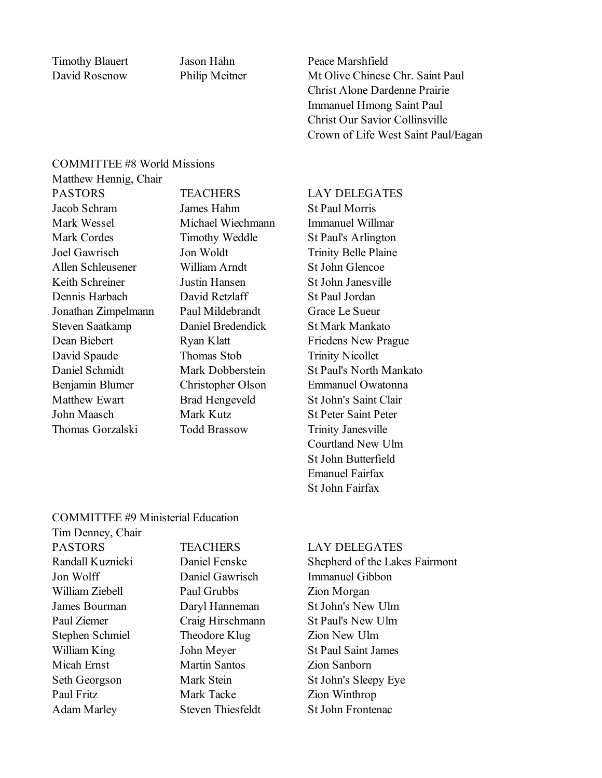Timothy Blauert Jason Hahn Peace Marshfield David Rosenow Philip Meitner Mt Olive Chinese Chr. Saint Paul Christ Alone Dardenne Prairie Immanuel Hmong Saint Paul Christ Our Savior Collinsville Crown of Life West Saint Paul/Eagan

#### COMMITTEE #8 World Missions

Matthew Hennig, Chair PASTORS TEACHERS LAY DELEGATES Jacob Schram James Hahm St Paul Morris Mark Wessel Michael Wiechmann Immanuel Willmar Mark Cordes Timothy Weddle St Paul's Arlington Joel Gawrisch Jon Woldt Trinity Belle Plaine Allen Schleusener William Arndt St John Glencoe Keith Schreiner Justin Hansen St John Janesville Dennis Harbach David Retzlaff St Paul Jordan Jonathan Zimpelmann Paul Mildebrandt Grace Le Sueur Steven Saatkamp Daniel Bredendick St Mark Mankato Dean Biebert Ryan Klatt Friedens New Prague David Spaude Thomas Stob Trinity Nicollet Daniel Schmidt Mark Dobberstein St Paul's North Mankato Benjamin Blumer Christopher Olson Emmanuel Owatonna Matthew Ewart Brad Hengeveld St John's Saint Clair John Maasch Mark Kutz St Peter Saint Peter Thomas Gorzalski Todd Brassow Trinity Janesville

Courtland New Ulm St John Butterfield Emanuel Fairfax St John Fairfax

### COMMITTEE #9 Ministerial Education

| Tim Denney, Chair  |
|--------------------|
| <b>PASTORS</b>     |
| Randall Kuznicki   |
| Jon Wolff          |
| William Ziebell    |
| James Bourman      |
| Paul Ziemer        |
| Stephen Schmiel    |
| William King       |
| <b>Micah Ernst</b> |
| Seth Georgson      |
| Paul Fritz         |
| Adam Marley        |

Paul Grubbs **Zion Morgan** Theodore Klug Zion New Ulm Martin Santos **Zion Sanborn Paul Francisc** Mark Tacke **Zion Winthrop** Adam Marley Steven Thiesfeldt St John Frontenac

#### TEACHERS LAY DELEGATES

Daniel Fenske Shepherd of the Lakes Fairmont Daniel Gawrisch Immanuel Gibbon Daryl Hanneman St John's New Ulm Craig Hirschmann St Paul's New Ulm John Meyer St Paul Saint James Mark Stein St John's Sleepy Eye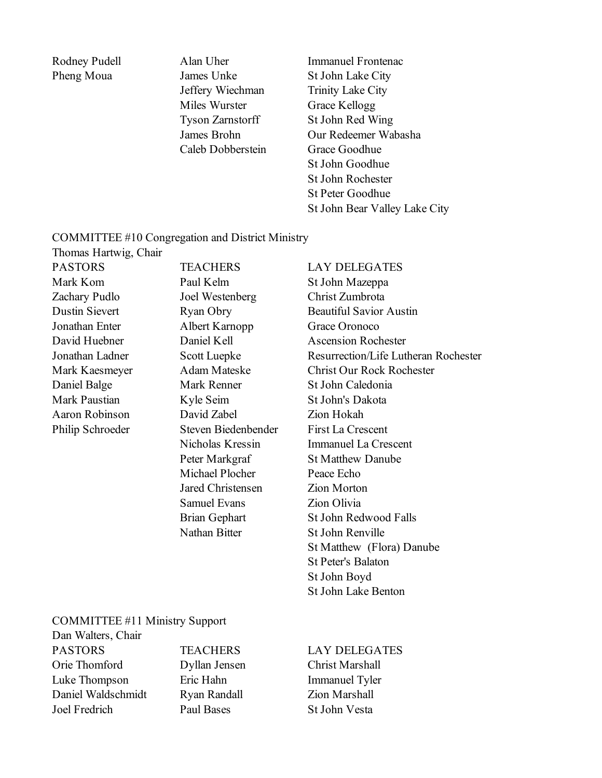Pheng Moua James Unke St John Lake City Jeffery Wiechman Trinity Lake City Miles Wurster Grace Kellogg Caleb Dobberstein Grace Goodhue

Rodney Pudell Alan Uher Immanuel Frontenac Tyson Zarnstorff St John Red Wing James Brohn Our Redeemer Wabasha St John Goodhue St John Rochester St Peter Goodhue St John Bear Valley Lake City

### COMMITTEE #10 Congregation and District Ministry

Thomas Hartwig, Chair

Mark Kom Paul Kelm St John Mazeppa Zachary Pudlo Joel Westenberg Christ Zumbrota Jonathan Enter Albert Karnopp Grace Oronoco Daniel Balge Mark Renner St John Caledonia Mark Paustian Kyle Seim St John's Dakota Aaron Robinson David Zabel Zion Hokah Philip Schroeder Steven Biedenbender First La Crescent Michael Plocher Peace Echo Jared Christensen Zion Morton Samuel Evans **Zion Olivia** Nathan Bitter St John Renville

PASTORS TEACHERS LAY DELEGATES Dustin Sievert Ryan Obry Beautiful Savior Austin David Huebner Daniel Kell Ascension Rochester Jonathan Ladner Scott Luepke Resurrection/Life Lutheran Rochester Mark Kaesmeyer Adam Mateske Christ Our Rock Rochester Nicholas Kressin Immanuel La Crescent Peter Markgraf St Matthew Danube Brian Gephart St John Redwood Falls St Matthew (Flora) Danube St Peter's Balaton St John Boyd St John Lake Benton

# COMMITTEE #11 Ministry Support

Dan Walters, Chair PASTORS TEACHERS LAY DELEGATES Orie Thomford Dyllan Jensen Christ Marshall Luke Thompson Eric Hahn Immanuel Tyler Daniel Waldschmidt Ryan Randall Zion Marshall Joel Fredrich Paul Bases St John Vesta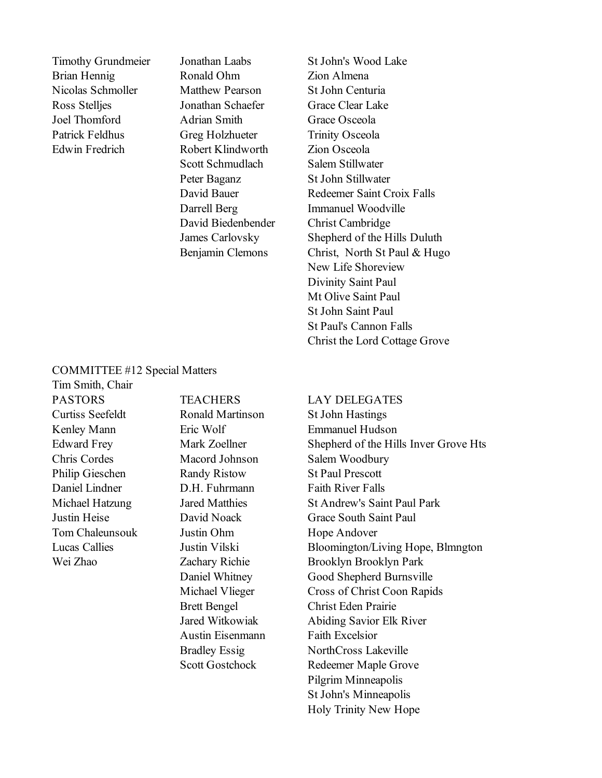Brian Hennig Ronald Ohm Zion Almena Nicolas Schmoller Matthew Pearson St John Centuria Ross Stelljes Jonathan Schaefer Grace Clear Lake Joel Thomford Adrian Smith Grace Osceola Patrick Feldhus Greg Holzhueter Trinity Osceola Edwin Fredrich Robert Klindworth Zion Osceola Scott Schmudlach Salem Stillwater Peter Baganz St John Stillwater David Biedenbender Christ Cambridge

Timothy Grundmeier Jonathan Laabs St John's Wood Lake David Bauer Redeemer Saint Croix Falls Darrell Berg Immanuel Woodville James Carlovsky Shepherd of the Hills Duluth Benjamin Clemons Christ, North St Paul & Hugo New Life Shoreview Divinity Saint Paul Mt Olive Saint Paul St John Saint Paul St Paul's Cannon Falls Christ the Lord Cottage Grove

#### COMMITTEE #12 Special Matters

Tim Smith, Chair Curtiss Seefeldt Ronald Martinson St John Hastings Chris Cordes Macord Johnson Salem Woodbury Philip Gieschen Randy Ristow St Paul Prescott Daniel Lindner D.H. Fuhrmann Faith River Falls Tom Chaleunsouk Justin Ohm Hope Andover

Austin Eisenmann Faith Excelsior

#### PASTORS TEACHERS LAY DELEGATES

Kenley Mann Eric Wolf Emmanuel Hudson Edward Frey Mark Zoellner Shepherd of the Hills Inver Grove Hts Michael Hatzung Jared Matthies St Andrew's Saint Paul Park Justin Heise David Noack Grace South Saint Paul Lucas Callies Justin Vilski Bloomington/Living Hope, Blmngton Wei Zhao Zachary Richie Brooklyn Brooklyn Park Daniel Whitney Good Shepherd Burnsville Michael Vlieger Cross of Christ Coon Rapids Brett Bengel Christ Eden Prairie Jared Witkowiak Abiding Savior Elk River Bradley Essig NorthCross Lakeville Scott Gostchock Redeemer Maple Grove Pilgrim Minneapolis St John's Minneapolis Holy Trinity New Hope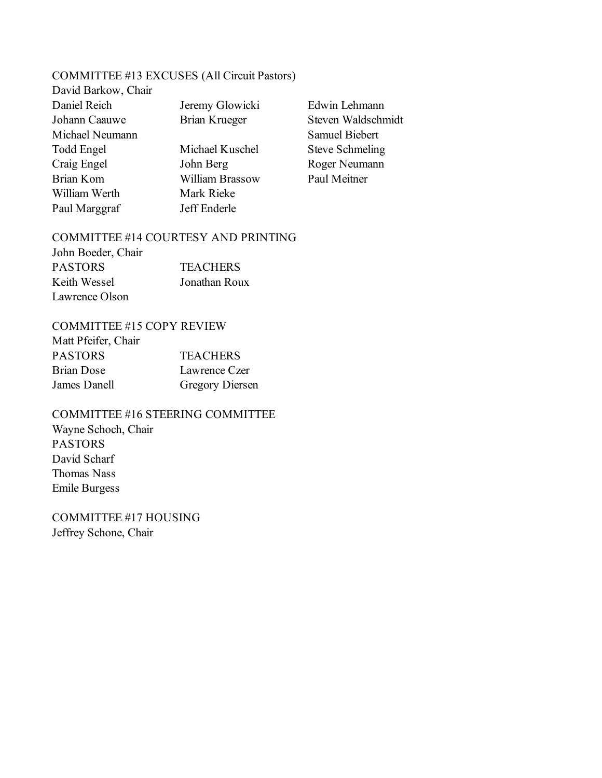# COMMITTEE #13 EXCUSES (All Circuit Pastors)

| David Barkow, Chair |                      |                        |
|---------------------|----------------------|------------------------|
| Daniel Reich        | Jeremy Glowicki      | Edwin Lehmann          |
| Johann Caauwe       | <b>Brian Krueger</b> | Steven Waldschmidt     |
| Michael Neumann     |                      | <b>Samuel Biebert</b>  |
| Todd Engel          | Michael Kuschel      | <b>Steve Schmeling</b> |
| Craig Engel         | John Berg            | Roger Neumann          |
| Brian Kom           | William Brassow      | Paul Meitner           |
| William Werth       | Mark Rieke           |                        |
| Paul Marggraf       | Jeff Enderle         |                        |
|                     |                      |                        |

#### COMMITTEE #14 COURTESY AND PRINTING

| John Boeder, Chair |                 |
|--------------------|-----------------|
| <b>PASTORS</b>     | <b>TEACHERS</b> |
| Keith Wessel       | Jonathan Roux   |
| Lawrence Olson     |                 |

# COMMITTEE #15 COPY REVIEW

| Matt Pfeifer, Chair |                        |
|---------------------|------------------------|
| <b>PASTORS</b>      | <b>TEACHERS</b>        |
| <b>Brian Dose</b>   | Lawrence Czer          |
| James Danell        | <b>Gregory Diersen</b> |

COMMITTEE #16 STEERING COMMITTEE Wayne Schoch, Chair PASTORS David Scharf Thomas Nass Emile Burgess

COMMITTEE #17 HOUSING Jeffrey Schone, Chair